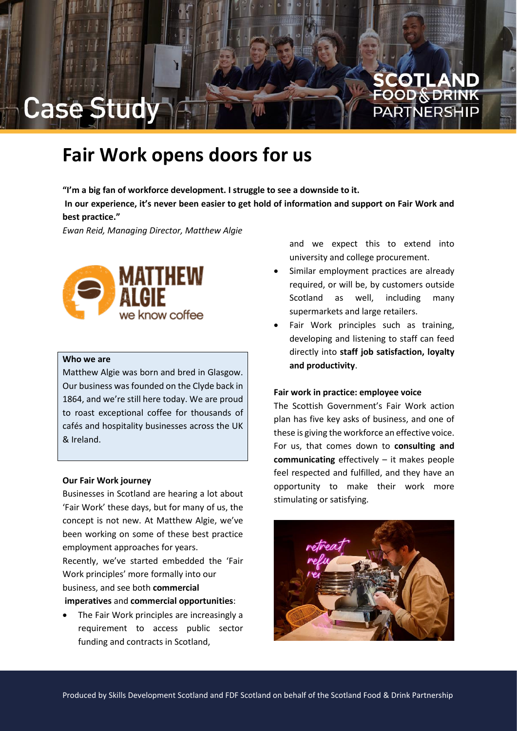

## **Fair Work opens doors for us**

**"I'm a big fan of workforce development. I struggle to see a downside to it. In our experience, it's never been easier to get hold of information and support on Fair Work and best practice."**

*Ewan Reid, Managing Director, Matthew Algie*



### **Who we are**

Matthew Algie was born and bred in Glasgow. Our business was founded on the Clyde back in 1864, and we're still here today. We are proud to roast exceptional coffee for thousands of cafés and hospitality businesses across the UK & Ireland.

#### **Our Fair Work journey**

Businesses in Scotland are hearing a lot about 'Fair Work' these days, but for many of us, the concept is not new. At Matthew Algie, we've been working on some of these best practice employment approaches for years.

Recently, we've started embedded the 'Fair Work principles' more formally into our business, and see both **commercial**

**imperatives** and **commercial opportunities**:

• The Fair Work principles are increasingly a requirement to access public sector funding and contracts in Scotland,

and we expect this to extend into university and college procurement.

- Similar employment practices are already required, or will be, by customers outside Scotland as well, including many supermarkets and large retailers.
- Fair Work principles such as training, developing and listening to staff can feed directly into **staff job satisfaction, loyalty and productivity**.

### **Fair work in practice: employee voice**

The Scottish Government's Fair Work action plan has five key asks of business, and one of these is giving the workforce an effective voice. For us, that comes down to **consulting and communicating** effectively – it makes people feel respected and fulfilled, and they have an opportunity to make their work more stimulating or satisfying.

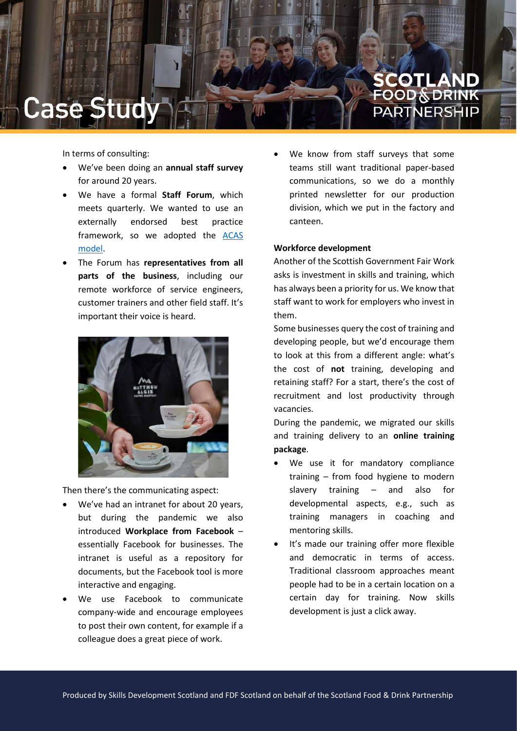

In terms of consulting:

- We've been doing an **annual staff survey** for around 20 years.
- We have a formal **Staff Forum**, which meets quarterly. We wanted to use an externally endorsed best practice framework, so we adopted the [ACAS](https://www.acas.org.uk/informing-and-consulting-with-your-employees-about-workplace-matters)  [model.](https://www.acas.org.uk/informing-and-consulting-with-your-employees-about-workplace-matters)
- The Forum has **representatives from all parts of the business**, including our remote workforce of service engineers, customer trainers and other field staff. It's important their voice is heard.



Then there's the communicating aspect:

- We've had an intranet for about 20 years, but during the pandemic we also introduced **Workplace from Facebook** – essentially Facebook for businesses. The intranet is useful as a repository for documents, but the Facebook tool is more interactive and engaging.
- We use Facebook to communicate company-wide and encourage employees to post their own content, for example if a colleague does a great piece of work.

We know from staff surveys that some teams still want traditional paper-based communications, so we do a monthly printed newsletter for our production division, which we put in the factory and canteen.

### **Workforce development**

Another of the Scottish Government Fair Work asks is investment in skills and training, which has always been a priority for us. We know that staff want to work for employers who invest in them.

Some businesses query the cost of training and developing people, but we'd encourage them to look at this from a different angle: what's the cost of **not** training, developing and retaining staff? For a start, there's the cost of recruitment and lost productivity through vacancies.

During the pandemic, we migrated our skills and training delivery to an **online training package**.

- We use it for mandatory compliance training – from food hygiene to modern slavery training – and also for developmental aspects, e.g., such as training managers in coaching and mentoring skills.
- It's made our training offer more flexible and democratic in terms of access. Traditional classroom approaches meant people had to be in a certain location on a certain day for training. Now skills development is just a click away.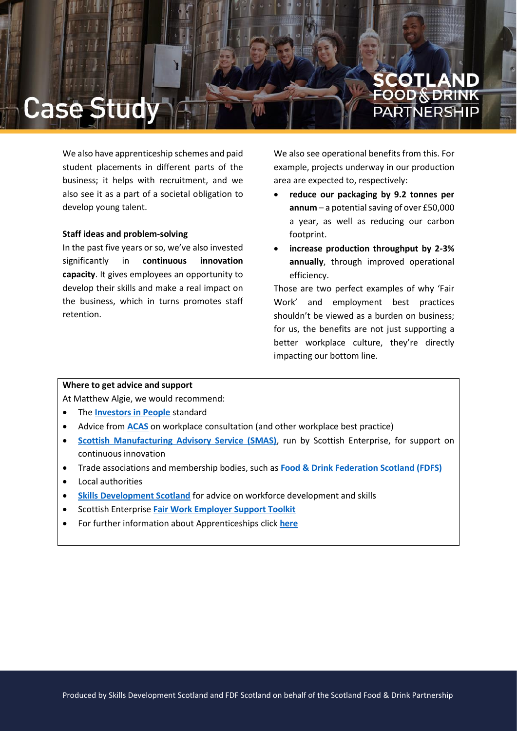### COTLAND **OOD & DRINK** PARTNERSI

We also have apprenticeship schemes and paid student placements in different parts of the business; it helps with recruitment, and we also see it as a part of a societal obligation to develop young talent.

### **Staff ideas and problem-solving**

In the past five years or so, we've also invested significantly in **continuous innovation capacity**. It gives employees an opportunity to develop their skills and make a real impact on the business, which in turns promotes staff retention.

We also see operational benefits from this. For example, projects underway in our production area are expected to, respectively:

- **reduce our packaging by 9.2 tonnes per annum** – a potential saving of over £50,000 a year, as well as reducing our carbon footprint.
- **increase production throughput by 2-3% annually**, through improved operational efficiency.

Those are two perfect examples of why 'Fair Work' and employment best practices shouldn't be viewed as a burden on business; for us, the benefits are not just supporting a better workplace culture, they're directly impacting our bottom line.

### **Where to get advice and support**

At Matthew Algie, we would recommend:

- The **[Investors in People](https://www.investorsinpeople.com/)** standard
- Advice from **[ACAS](https://www.acas.org.uk/)** on workplace consultation (and other workplace best practice)
- **[Scottish Manufacturing Advisory Service \(SMAS\)](https://www.scottish-enterprise.com/support-for-businesses/develop-products-and-services/support-for-manufacturers)**, run by Scottish Enterprise, for support on continuous innovation
- Trade associations and membership bodies, such as **[Food & Drink Federation Scotland \(FDFS\)](https://www.fdfscotland.org.uk/)**
- Local authorities
- **[Skills Development Scotland](https://www.ourskillsforce.co.uk/)** for advice on workforce development and skills
- Scottish Enterprise **[Fair Work Employer Support Toolkit](https://fairworktool.scot/)**
- For further information about Apprenticeships click **[here](https://www.apprenticeships.scot/)**